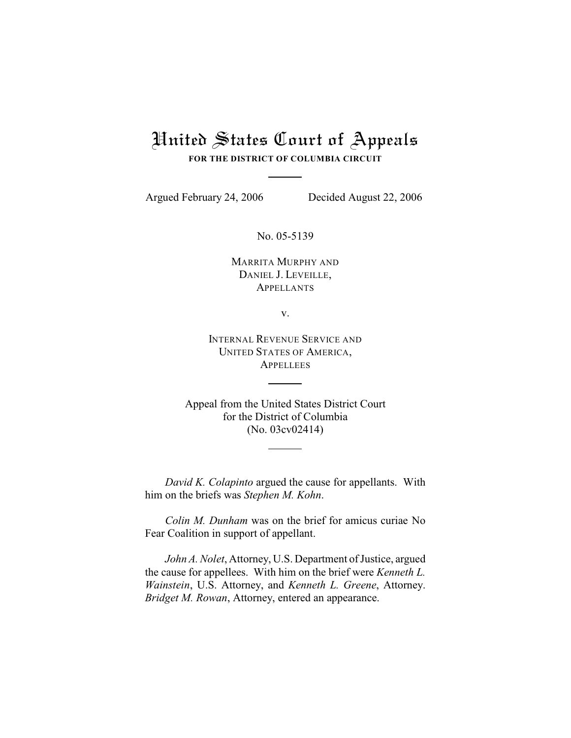# United States Court of Appeals

**FOR THE DISTRICT OF COLUMBIA CIRCUIT**

Argued February 24, 2006 Decided August 22, 2006

No. 05-5139

MARRITA MURPHY AND DANIEL J. LEVEILLE, **APPELLANTS** 

v.

INTERNAL REVENUE SERVICE AND UNITED STATES OF AMERICA, **APPELLEES** 

Appeal from the United States District Court for the District of Columbia (No. 03cv02414)

*David K. Colapinto* argued the cause for appellants. With him on the briefs was *Stephen M. Kohn*.

*Colin M. Dunham* was on the brief for amicus curiae No Fear Coalition in support of appellant.

*John A. Nolet*, Attorney, U.S. Department of Justice, argued the cause for appellees. With him on the brief were *Kenneth L. Wainstein*, U.S. Attorney, and *Kenneth L. Greene*, Attorney. *Bridget M. Rowan*, Attorney, entered an appearance.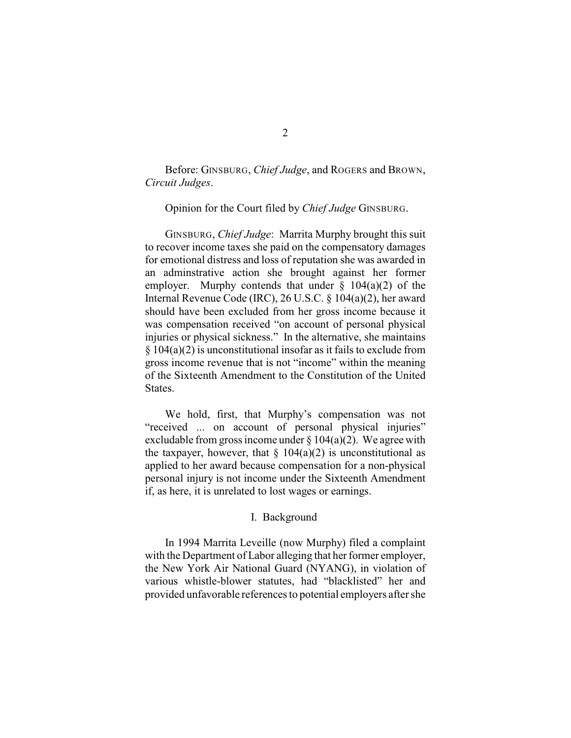Before: GINSBURG, *Chief Judge*, and ROGERS and BROWN, *Circuit Judges*.

Opinion for the Court filed by *Chief Judge* GINSBURG.

GINSBURG, *Chief Judge*: Marrita Murphy brought this suit to recover income taxes she paid on the compensatory damages for emotional distress and loss of reputation she was awarded in an adminstrative action she brought against her former employer. Murphy contends that under  $\S$  104(a)(2) of the Internal Revenue Code (IRC), 26 U.S.C. § 104(a)(2), her award should have been excluded from her gross income because it was compensation received "on account of personal physical injuries or physical sickness." In the alternative, she maintains § 104(a)(2) is unconstitutional insofar as it fails to exclude from gross income revenue that is not "income" within the meaning of the Sixteenth Amendment to the Constitution of the United States.

We hold, first, that Murphy's compensation was not "received ... on account of personal physical injuries" excludable from gross income under  $\S 104(a)(2)$ . We agree with the taxpayer, however, that  $\S 104(a)(2)$  is unconstitutional as applied to her award because compensation for a non-physical personal injury is not income under the Sixteenth Amendment if, as here, it is unrelated to lost wages or earnings.

# I. Background

In 1994 Marrita Leveille (now Murphy) filed a complaint with the Department of Labor alleging that her former employer, the New York Air National Guard (NYANG), in violation of various whistle-blower statutes, had "blacklisted" her and provided unfavorable references to potential employers after she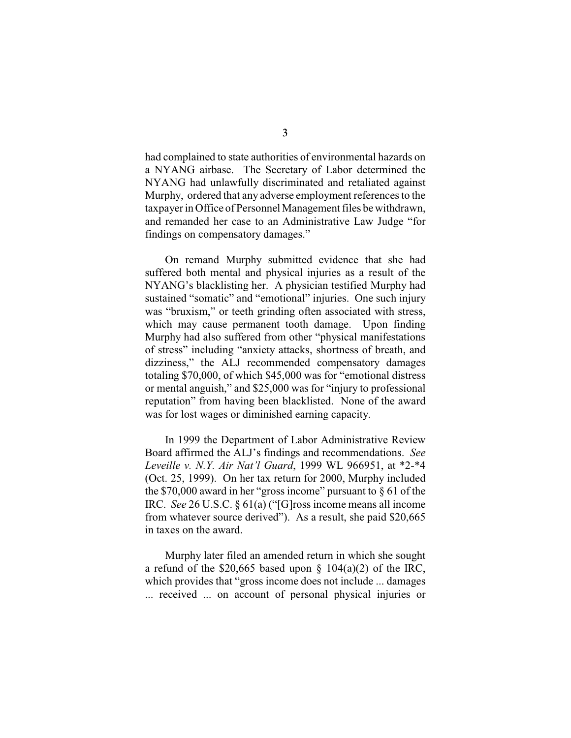had complained to state authorities of environmental hazards on a NYANG airbase. The Secretary of Labor determined the NYANG had unlawfully discriminated and retaliated against Murphy, ordered that any adverse employment references to the taxpayer in Office of Personnel Management files be withdrawn, and remanded her case to an Administrative Law Judge "for findings on compensatory damages."

On remand Murphy submitted evidence that she had suffered both mental and physical injuries as a result of the NYANG's blacklisting her. A physician testified Murphy had sustained "somatic" and "emotional" injuries. One such injury was "bruxism," or teeth grinding often associated with stress, which may cause permanent tooth damage. Upon finding Murphy had also suffered from other "physical manifestations of stress" including "anxiety attacks, shortness of breath, and dizziness," the ALJ recommended compensatory damages totaling \$70,000, of which \$45,000 was for "emotional distress or mental anguish," and \$25,000 was for "injury to professional reputation" from having been blacklisted. None of the award was for lost wages or diminished earning capacity.

In 1999 the Department of Labor Administrative Review Board affirmed the ALJ's findings and recommendations. *See Leveille v. N.Y. Air Nat'l Guard*, 1999 WL 966951, at \*2-\*4 (Oct. 25, 1999). On her tax return for 2000, Murphy included the \$70,000 award in her "gross income" pursuant to § 61 of the IRC. *See* 26 U.S.C. § 61(a) ("[G]ross income means all income from whatever source derived"). As a result, she paid \$20,665 in taxes on the award.

Murphy later filed an amended return in which she sought a refund of the \$20,665 based upon  $\S$  104(a)(2) of the IRC, which provides that "gross income does not include ... damages ... received ... on account of personal physical injuries or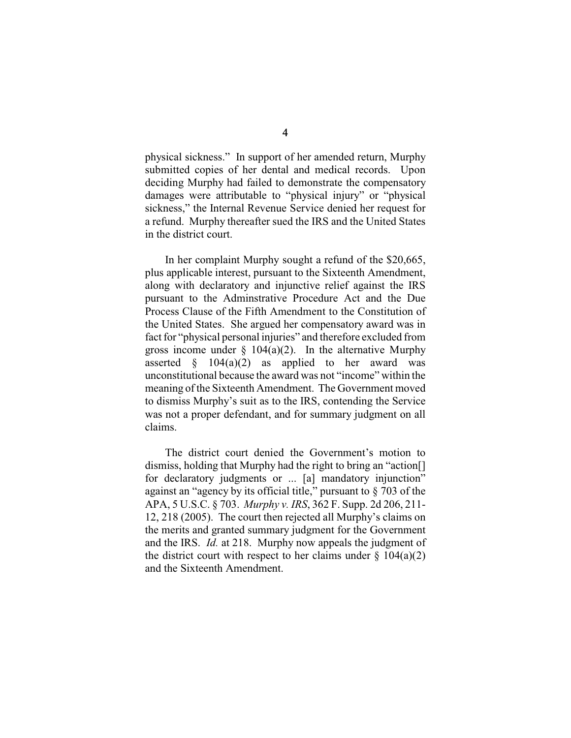physical sickness." In support of her amended return, Murphy submitted copies of her dental and medical records. Upon deciding Murphy had failed to demonstrate the compensatory damages were attributable to "physical injury" or "physical sickness," the Internal Revenue Service denied her request for a refund. Murphy thereafter sued the IRS and the United States in the district court.

In her complaint Murphy sought a refund of the \$20,665, plus applicable interest, pursuant to the Sixteenth Amendment, along with declaratory and injunctive relief against the IRS pursuant to the Adminstrative Procedure Act and the Due Process Clause of the Fifth Amendment to the Constitution of the United States. She argued her compensatory award was in fact for "physical personal injuries" and therefore excluded from gross income under  $\S$  104(a)(2). In the alternative Murphy asserted  $\S$  104(a)(2) as applied to her award was unconstitutional because the award was not "income" within the meaning of the Sixteenth Amendment. The Government moved to dismiss Murphy's suit as to the IRS, contending the Service was not a proper defendant, and for summary judgment on all claims.

The district court denied the Government's motion to dismiss, holding that Murphy had the right to bring an "action[] for declaratory judgments or ... [a] mandatory injunction" against an "agency by its official title," pursuant to § 703 of the APA, 5 U.S.C. § 703. *Murphy v. IRS*, 362 F. Supp. 2d 206, 211- 12, 218 (2005). The court then rejected all Murphy's claims on the merits and granted summary judgment for the Government and the IRS. *Id.* at 218. Murphy now appeals the judgment of the district court with respect to her claims under  $\S$  104(a)(2) and the Sixteenth Amendment.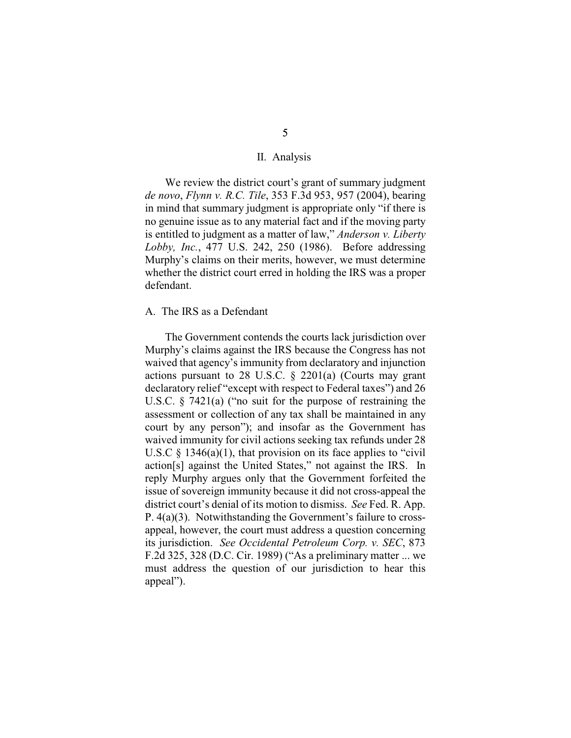#### II. Analysis

We review the district court's grant of summary judgment *de novo*, *Flynn v. R.C. Tile*, 353 F.3d 953, 957 (2004), bearing in mind that summary judgment is appropriate only "if there is no genuine issue as to any material fact and if the moving party is entitled to judgment as a matter of law," *Anderson v. Liberty Lobby, Inc.*, 477 U.S. 242, 250 (1986). Before addressing Murphy's claims on their merits, however, we must determine whether the district court erred in holding the IRS was a proper defendant.

#### A. The IRS as a Defendant

The Government contends the courts lack jurisdiction over Murphy's claims against the IRS because the Congress has not waived that agency's immunity from declaratory and injunction actions pursuant to 28 U.S.C. § 2201(a) (Courts may grant declaratory relief "except with respect to Federal taxes") and 26 U.S.C. § 7421(a) ("no suit for the purpose of restraining the assessment or collection of any tax shall be maintained in any court by any person"); and insofar as the Government has waived immunity for civil actions seeking tax refunds under 28 U.S.C  $\S$  1346(a)(1), that provision on its face applies to "civil" action[s] against the United States," not against the IRS. In reply Murphy argues only that the Government forfeited the issue of sovereign immunity because it did not cross-appeal the district court's denial of its motion to dismiss. *See* Fed. R. App. P. 4(a)(3). Notwithstanding the Government's failure to crossappeal, however, the court must address a question concerning its jurisdiction. *See Occidental Petroleum Corp. v. SEC*, 873 F.2d 325, 328 (D.C. Cir. 1989) ("As a preliminary matter ... we must address the question of our jurisdiction to hear this appeal").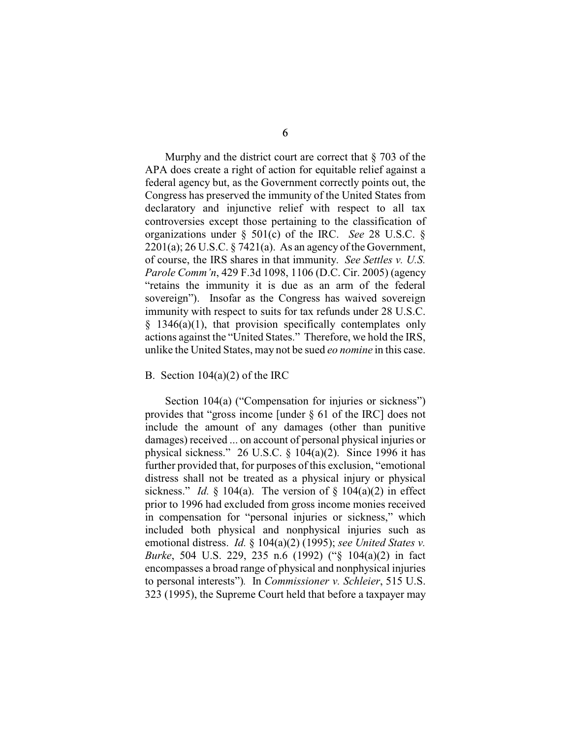Murphy and the district court are correct that  $\S$  703 of the APA does create a right of action for equitable relief against a federal agency but, as the Government correctly points out, the Congress has preserved the immunity of the United States from declaratory and injunctive relief with respect to all tax controversies except those pertaining to the classification of organizations under § 501(c) of the IRC. *See* 28 U.S.C. §  $2201(a)$ ; 26 U.S.C. § 7421(a). As an agency of the Government, of course, the IRS shares in that immunity. *See Settles v. U.S. Parole Comm'n*, 429 F.3d 1098, 1106 (D.C. Cir. 2005) (agency "retains the immunity it is due as an arm of the federal sovereign"). Insofar as the Congress has waived sovereign immunity with respect to suits for tax refunds under 28 U.S.C.  $§$  1346(a)(1), that provision specifically contemplates only actions against the "United States." Therefore, we hold the IRS, unlike the United States, may not be sued *eo nomine* in this case.

## B. Section  $104(a)(2)$  of the IRC

Section 104(a) ("Compensation for injuries or sickness") provides that "gross income [under § 61 of the IRC] does not include the amount of any damages (other than punitive damages) received ... on account of personal physical injuries or physical sickness." 26 U.S.C.  $\S$  104(a)(2). Since 1996 it has further provided that, for purposes of this exclusion, "emotional distress shall not be treated as a physical injury or physical sickness." *Id.*  $\S$  104(a). The version of  $\S$  104(a)(2) in effect prior to 1996 had excluded from gross income monies received in compensation for "personal injuries or sickness," which included both physical and nonphysical injuries such as emotional distress. *Id.* § 104(a)(2) (1995); *see United States v. Burke*, 504 U.S. 229, 235 n.6 (1992) ("§ 104(a)(2) in fact encompasses a broad range of physical and nonphysical injuries to personal interests")*.* In *Commissioner v. Schleier*, 515 U.S. 323 (1995), the Supreme Court held that before a taxpayer may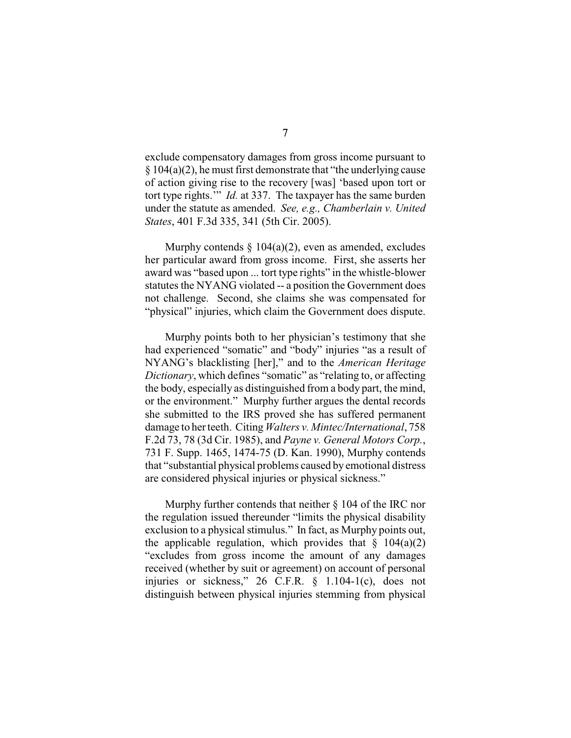exclude compensatory damages from gross income pursuant to § 104(a)(2), he must first demonstrate that "the underlying cause of action giving rise to the recovery [was] 'based upon tort or tort type rights.'" *Id.* at 337. The taxpayer has the same burden under the statute as amended. *See, e.g., Chamberlain v. United States*, 401 F.3d 335, 341 (5th Cir. 2005).

Murphy contends  $\S$  104(a)(2), even as amended, excludes her particular award from gross income. First, she asserts her award was "based upon ... tort type rights" in the whistle-blower statutes the NYANG violated -- a position the Government does not challenge. Second, she claims she was compensated for "physical" injuries, which claim the Government does dispute.

Murphy points both to her physician's testimony that she had experienced "somatic" and "body" injuries "as a result of NYANG's blacklisting [her]," and to the *American Heritage Dictionary*, which defines "somatic" as "relating to, or affecting the body, especially as distinguished from a body part, the mind, or the environment." Murphy further argues the dental records she submitted to the IRS proved she has suffered permanent damage to her teeth. Citing *Walters v. Mintec/International*, 758 F.2d 73, 78 (3d Cir. 1985), and *Payne v. General Motors Corp.*, 731 F. Supp. 1465, 1474-75 (D. Kan. 1990), Murphy contends that "substantial physical problems caused by emotional distress are considered physical injuries or physical sickness."

Murphy further contends that neither § 104 of the IRC nor the regulation issued thereunder "limits the physical disability exclusion to a physical stimulus." In fact, as Murphy points out, the applicable regulation, which provides that  $\S$  104(a)(2) "excludes from gross income the amount of any damages received (whether by suit or agreement) on account of personal injuries or sickness," 26 C.F.R. § 1.104-1(c), does not distinguish between physical injuries stemming from physical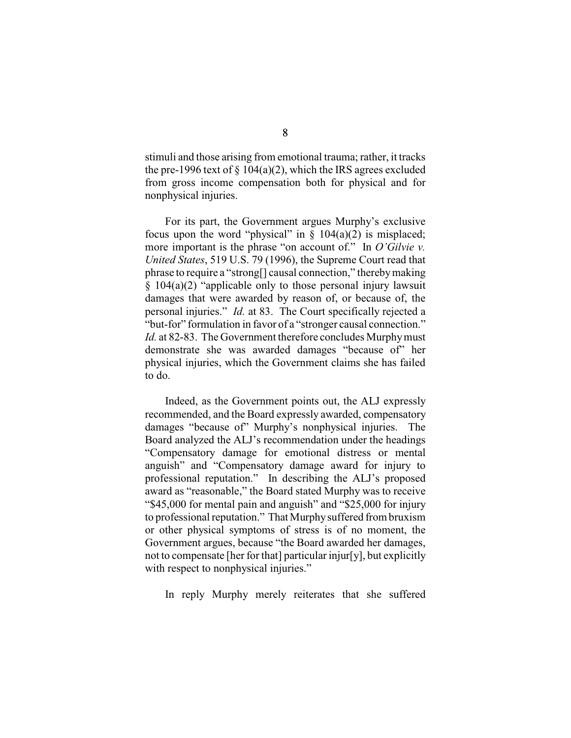stimuli and those arising from emotional trauma; rather, it tracks the pre-1996 text of  $\S 104(a)(2)$ , which the IRS agrees excluded from gross income compensation both for physical and for nonphysical injuries.

For its part, the Government argues Murphy's exclusive focus upon the word "physical" in  $\S$  104(a)(2) is misplaced; more important is the phrase "on account of." In *O'Gilvie v. United States*, 519 U.S. 79 (1996), the Supreme Court read that phrase to require a "strong[] causal connection," thereby making § 104(a)(2) "applicable only to those personal injury lawsuit damages that were awarded by reason of, or because of, the personal injuries." *Id.* at 83. The Court specifically rejected a "but-for" formulation in favor of a "stronger causal connection." *Id.* at 82-83. The Government therefore concludes Murphy must demonstrate she was awarded damages "because of" her physical injuries, which the Government claims she has failed to do.

Indeed, as the Government points out, the ALJ expressly recommended, and the Board expressly awarded, compensatory damages "because of" Murphy's nonphysical injuries. The Board analyzed the ALJ's recommendation under the headings "Compensatory damage for emotional distress or mental anguish" and "Compensatory damage award for injury to professional reputation." In describing the ALJ's proposed award as "reasonable," the Board stated Murphy was to receive "\$45,000 for mental pain and anguish" and "\$25,000 for injury to professional reputation." That Murphy suffered from bruxism or other physical symptoms of stress is of no moment, the Government argues, because "the Board awarded her damages, not to compensate [her for that] particular injur[y], but explicitly with respect to nonphysical injuries."

In reply Murphy merely reiterates that she suffered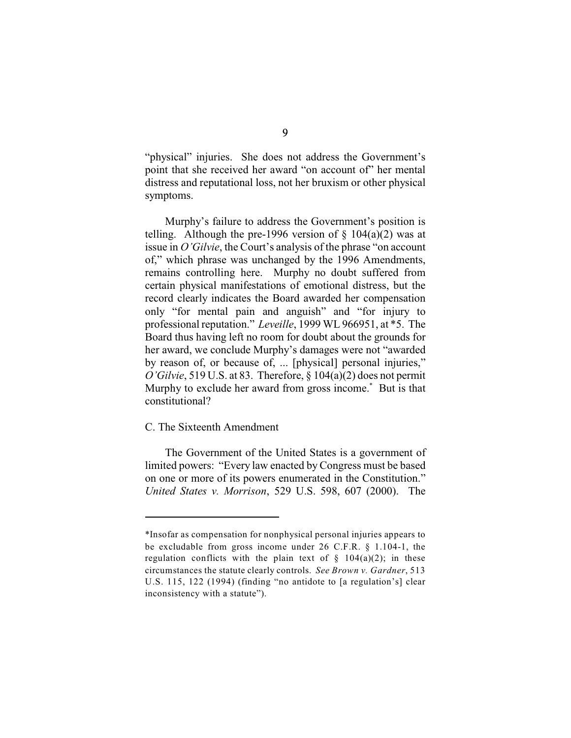"physical" injuries. She does not address the Government's point that she received her award "on account of" her mental distress and reputational loss, not her bruxism or other physical symptoms.

Murphy's failure to address the Government's position is telling. Although the pre-1996 version of  $\S$  104(a)(2) was at issue in *O'Gilvie*, the Court's analysis of the phrase "on account of," which phrase was unchanged by the 1996 Amendments, remains controlling here. Murphy no doubt suffered from certain physical manifestations of emotional distress, but the record clearly indicates the Board awarded her compensation only "for mental pain and anguish" and "for injury to professional reputation." *Leveille*, 1999 WL 966951, at \*5. The Board thus having left no room for doubt about the grounds for her award, we conclude Murphy's damages were not "awarded by reason of, or because of, ... [physical] personal injuries," *O'Gilvie*, 519 U.S. at 83. Therefore, § 104(a)(2) does not permit Murphy to exclude her award from gross income. $*$  But is that constitutional?

# C. The Sixteenth Amendment

The Government of the United States is a government of limited powers: "Every law enacted by Congress must be based on one or more of its powers enumerated in the Constitution." *United States v. Morrison*, 529 U.S. 598, 607 (2000). The

<sup>\*</sup>Insofar as compensation for nonphysical personal injuries appears to be excludable from gross income under 26 C.F.R. § 1.104-1, the regulation conflicts with the plain text of  $\S$  104(a)(2); in these circumstances the statute clearly controls. *See Brown v. Gardner*, 513 U.S. 115, 122 (1994) (finding "no antidote to [a regulation's] clear inconsistency with a statute").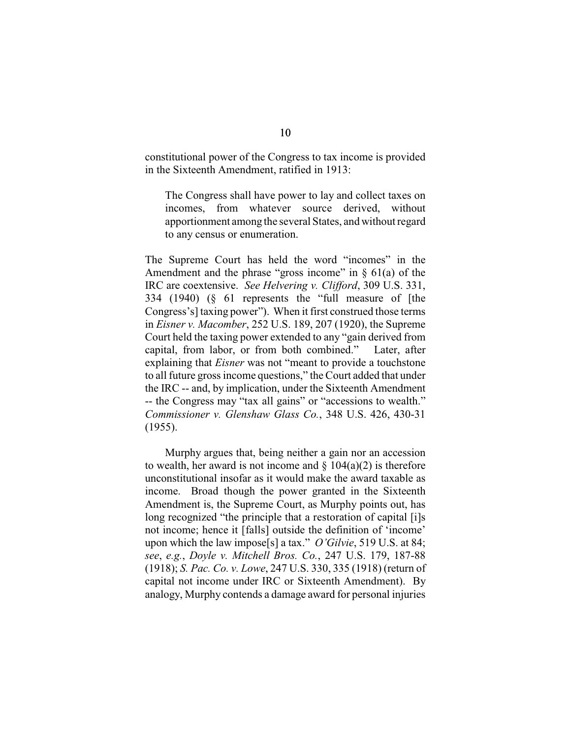constitutional power of the Congress to tax income is provided in the Sixteenth Amendment, ratified in 1913:

The Congress shall have power to lay and collect taxes on incomes, from whatever source derived, without apportionment among the several States, and without regard to any census or enumeration.

The Supreme Court has held the word "incomes" in the Amendment and the phrase "gross income" in  $\S$  61(a) of the IRC are coextensive. *See Helvering v. Clifford*, 309 U.S. 331, 334 (1940) (§ 61 represents the "full measure of [the Congress's] taxing power"). When it first construed those terms in *Eisner v. Macomber*, 252 U.S. 189, 207 (1920), the Supreme Court held the taxing power extended to any "gain derived from capital, from labor, or from both combined." Later, after explaining that *Eisner* was not "meant to provide a touchstone to all future gross income questions," the Court added that under the IRC -- and, by implication, under the Sixteenth Amendment -- the Congress may "tax all gains" or "accessions to wealth." *Commissioner v. Glenshaw Glass Co.*, 348 U.S. 426, 430-31 (1955).

Murphy argues that, being neither a gain nor an accession to wealth, her award is not income and  $\S$  104(a)(2) is therefore unconstitutional insofar as it would make the award taxable as income. Broad though the power granted in the Sixteenth Amendment is, the Supreme Court, as Murphy points out, has long recognized "the principle that a restoration of capital [i]s not income; hence it [falls] outside the definition of 'income' upon which the law impose[s] a tax." *O'Gilvie*, 519 U.S. at 84; *see*, *e.g.*, *Doyle v. Mitchell Bros. Co.*, 247 U.S. 179, 187-88 (1918); *S. Pac. Co. v. Lowe*, 247 U.S. 330, 335 (1918) (return of capital not income under IRC or Sixteenth Amendment). By analogy, Murphy contends a damage award for personal injuries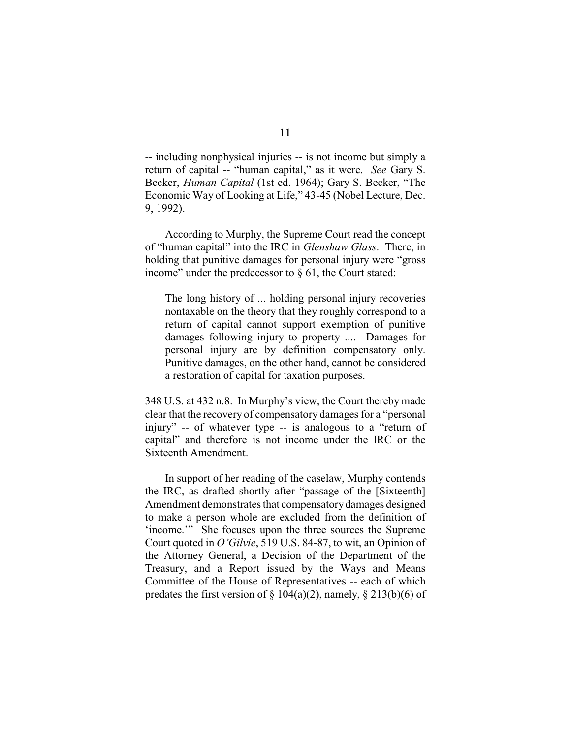-- including nonphysical injuries -- is not income but simply a return of capital -- "human capital," as it were. *See* Gary S. Becker, *Human Capital* (1st ed. 1964); Gary S. Becker, "The Economic Way of Looking at Life," 43-45 (Nobel Lecture, Dec. 9, 1992).

According to Murphy, the Supreme Court read the concept of "human capital" into the IRC in *Glenshaw Glass*. There, in holding that punitive damages for personal injury were "gross income" under the predecessor to  $\S$  61, the Court stated:

The long history of ... holding personal injury recoveries nontaxable on the theory that they roughly correspond to a return of capital cannot support exemption of punitive damages following injury to property .... Damages for personal injury are by definition compensatory only. Punitive damages, on the other hand, cannot be considered a restoration of capital for taxation purposes.

348 U.S. at 432 n.8. In Murphy's view, the Court thereby made clear that the recovery of compensatory damages for a "personal injury" -- of whatever type -- is analogous to a "return of capital" and therefore is not income under the IRC or the Sixteenth Amendment.

In support of her reading of the caselaw, Murphy contends the IRC, as drafted shortly after "passage of the [Sixteenth] Amendment demonstrates that compensatorydamages designed to make a person whole are excluded from the definition of 'income.'" She focuses upon the three sources the Supreme Court quoted in *O'Gilvie*, 519 U.S. 84-87, to wit, an Opinion of the Attorney General, a Decision of the Department of the Treasury, and a Report issued by the Ways and Means Committee of the House of Representatives -- each of which predates the first version of  $\S 104(a)(2)$ , namely,  $\S 213(b)(6)$  of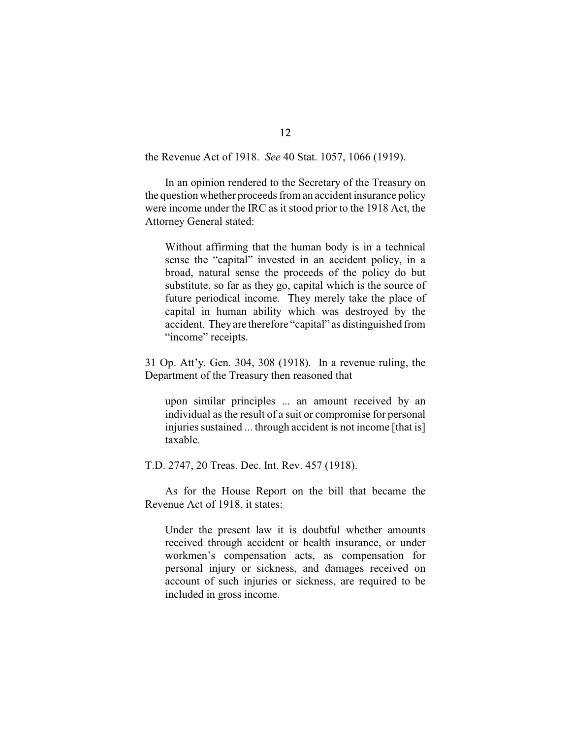the Revenue Act of 1918. *See* 40 Stat. 1057, 1066 (1919).

In an opinion rendered to the Secretary of the Treasury on the question whether proceeds from an accident insurance policy were income under the IRC as it stood prior to the 1918 Act, the Attorney General stated:

Without affirming that the human body is in a technical sense the "capital" invested in an accident policy, in a broad, natural sense the proceeds of the policy do but substitute, so far as they go, capital which is the source of future periodical income. They merely take the place of capital in human ability which was destroyed by the accident. Theyare therefore "capital" as distinguished from "income" receipts.

31 Op. Att'y. Gen. 304, 308 (1918). In a revenue ruling, the Department of the Treasury then reasoned that

upon similar principles ... an amount received by an individual as the result of a suit or compromise for personal injuries sustained ... through accident is not income [that is] taxable.

T.D. 2747, 20 Treas. Dec. Int. Rev. 457 (1918).

As for the House Report on the bill that became the Revenue Act of 1918, it states:

Under the present law it is doubtful whether amounts received through accident or health insurance, or under workmen's compensation acts, as compensation for personal injury or sickness, and damages received on account of such injuries or sickness, are required to be included in gross income.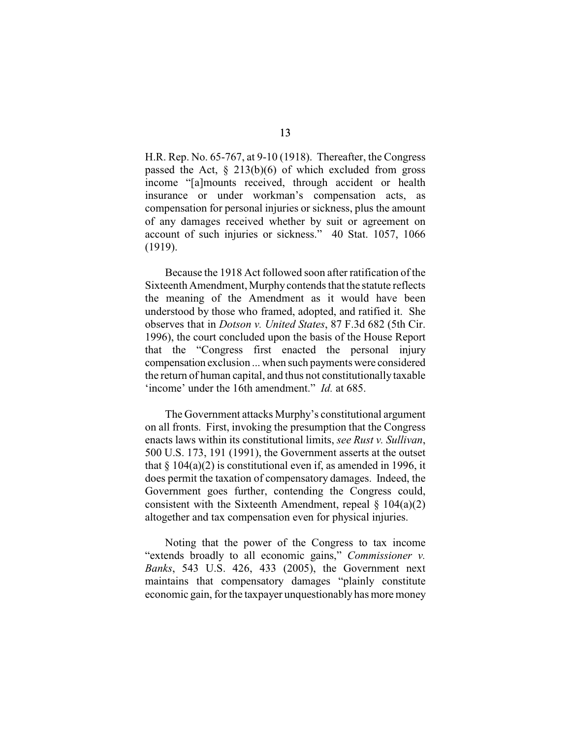H.R. Rep. No. 65-767, at 9-10 (1918). Thereafter, the Congress passed the Act,  $\S$  213(b)(6) of which excluded from gross income "[a]mounts received, through accident or health insurance or under workman's compensation acts, as compensation for personal injuries or sickness, plus the amount of any damages received whether by suit or agreement on account of such injuries or sickness." 40 Stat. 1057, 1066 (1919).

Because the 1918 Act followed soon after ratification of the Sixteenth Amendment, Murphy contends that the statute reflects the meaning of the Amendment as it would have been understood by those who framed, adopted, and ratified it. She observes that in *Dotson v. United States*, 87 F.3d 682 (5th Cir. 1996), the court concluded upon the basis of the House Report that the "Congress first enacted the personal injury compensation exclusion ... when such payments were considered the return of human capital, and thus not constitutionally taxable 'income' under the 16th amendment." *Id.* at 685.

The Government attacks Murphy's constitutional argument on all fronts. First, invoking the presumption that the Congress enacts laws within its constitutional limits, *see Rust v. Sullivan*, 500 U.S. 173, 191 (1991), the Government asserts at the outset that  $\S 104(a)(2)$  is constitutional even if, as amended in 1996, it does permit the taxation of compensatory damages. Indeed, the Government goes further, contending the Congress could, consistent with the Sixteenth Amendment, repeal  $\S$  104(a)(2) altogether and tax compensation even for physical injuries.

Noting that the power of the Congress to tax income "extends broadly to all economic gains," *Commissioner v. Banks*, 543 U.S. 426, 433 (2005), the Government next maintains that compensatory damages "plainly constitute economic gain, for the taxpayer unquestionably has more money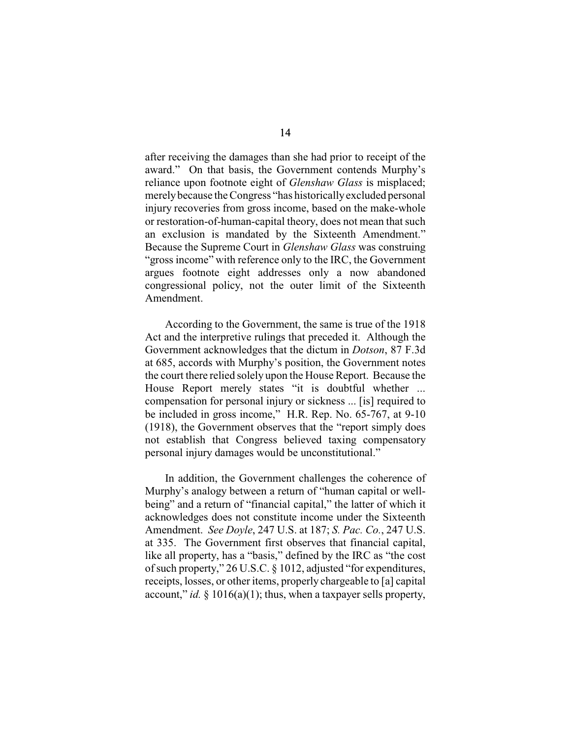after receiving the damages than she had prior to receipt of the award." On that basis, the Government contends Murphy's reliance upon footnote eight of *Glenshaw Glass* is misplaced; merely because the Congress "has historically excluded personal injury recoveries from gross income, based on the make-whole or restoration-of-human-capital theory, does not mean that such an exclusion is mandated by the Sixteenth Amendment." Because the Supreme Court in *Glenshaw Glass* was construing "gross income" with reference only to the IRC, the Government argues footnote eight addresses only a now abandoned congressional policy, not the outer limit of the Sixteenth Amendment.

According to the Government, the same is true of the 1918 Act and the interpretive rulings that preceded it. Although the Government acknowledges that the dictum in *Dotson*, 87 F.3d at 685, accords with Murphy's position, the Government notes the court there relied solely upon the House Report. Because the House Report merely states "it is doubtful whether ... compensation for personal injury or sickness ... [is] required to be included in gross income," H.R. Rep. No. 65-767, at 9-10 (1918), the Government observes that the "report simply does not establish that Congress believed taxing compensatory personal injury damages would be unconstitutional."

In addition, the Government challenges the coherence of Murphy's analogy between a return of "human capital or wellbeing" and a return of "financial capital," the latter of which it acknowledges does not constitute income under the Sixteenth Amendment. *See Doyle*, 247 U.S. at 187; *S. Pac. Co.*, 247 U.S. at 335. The Government first observes that financial capital, like all property, has a "basis," defined by the IRC as "the cost of such property," 26 U.S.C. § 1012, adjusted "for expenditures, receipts, losses, or other items, properly chargeable to [a] capital account," *id.* § 1016(a)(1); thus, when a taxpayer sells property,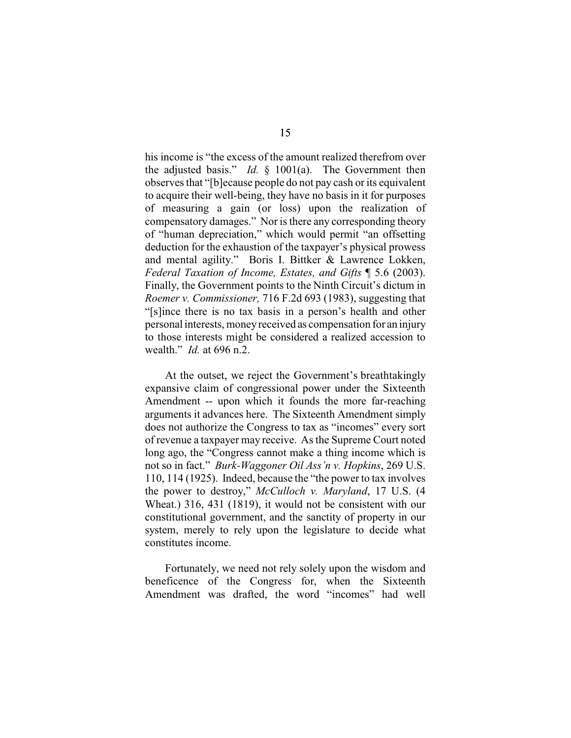his income is "the excess of the amount realized therefrom over the adjusted basis." *Id.* § 1001(a). The Government then observes that "[b]ecause people do not pay cash or its equivalent to acquire their well-being, they have no basis in it for purposes of measuring a gain (or loss) upon the realization of compensatory damages." Nor is there any corresponding theory of "human depreciation," which would permit "an offsetting deduction for the exhaustion of the taxpayer's physical prowess and mental agility." Boris I. Bittker & Lawrence Lokken, *Federal Taxation of Income, Estates, and Gifts* ¶ 5.6 (2003). Finally, the Government points to the Ninth Circuit's dictum in *Roemer v. Commissioner,* 716 F.2d 693 (1983), suggesting that "[s]ince there is no tax basis in a person's health and other personal interests, money received as compensation for an injury to those interests might be considered a realized accession to wealth." *Id.* at 696 n.2.

At the outset, we reject the Government's breathtakingly expansive claim of congressional power under the Sixteenth Amendment -- upon which it founds the more far-reaching arguments it advances here. The Sixteenth Amendment simply does not authorize the Congress to tax as "incomes" every sort of revenue a taxpayer may receive. As the Supreme Court noted long ago, the "Congress cannot make a thing income which is not so in fact." *Burk-Waggoner Oil Ass'n v. Hopkins*, 269 U.S. 110, 114 (1925). Indeed, because the "the power to tax involves the power to destroy," *McCulloch v. Maryland*, 17 U.S. (4 Wheat.) 316, 431 (1819), it would not be consistent with our constitutional government, and the sanctity of property in our system, merely to rely upon the legislature to decide what constitutes income.

Fortunately, we need not rely solely upon the wisdom and beneficence of the Congress for, when the Sixteenth Amendment was drafted, the word "incomes" had well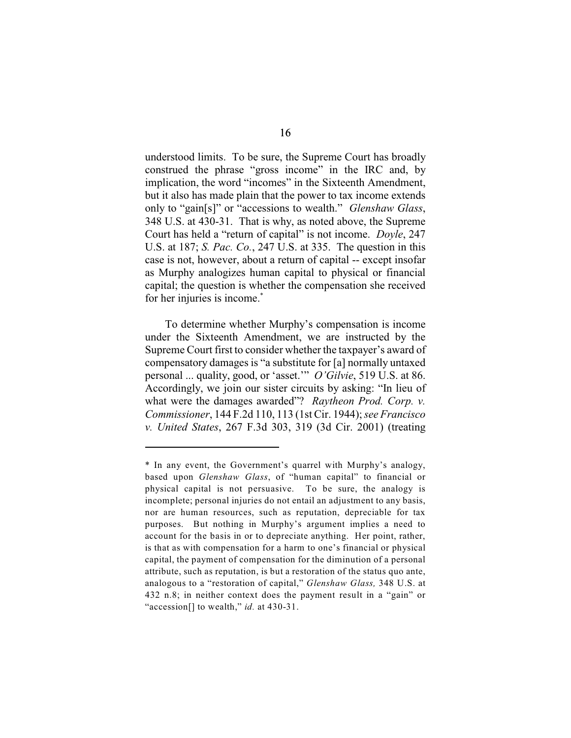understood limits. To be sure, the Supreme Court has broadly construed the phrase "gross income" in the IRC and, by implication, the word "incomes" in the Sixteenth Amendment, but it also has made plain that the power to tax income extends only to "gain[s]" or "accessions to wealth." *Glenshaw Glass*, 348 U.S. at 430-31. That is why, as noted above, the Supreme Court has held a "return of capital" is not income. *Doyle*, 247 U.S. at 187; *S. Pac. Co.*, 247 U.S. at 335. The question in this case is not, however, about a return of capital -- except insofar as Murphy analogizes human capital to physical or financial capital; the question is whether the compensation she received for her injuries is income.\*

To determine whether Murphy's compensation is income under the Sixteenth Amendment, we are instructed by the Supreme Court first to consider whether the taxpayer's award of compensatory damages is "a substitute for [a] normally untaxed personal ... quality, good, or 'asset.'" *O'Gilvie*, 519 U.S. at 86. Accordingly, we join our sister circuits by asking: "In lieu of what were the damages awarded"? *Raytheon Prod. Corp. v. Commissioner*, 144 F.2d 110, 113 (1st Cir. 1944); *see Francisco v. United States*, 267 F.3d 303, 319 (3d Cir. 2001) (treating

<sup>\*</sup> In any event, the Government's quarrel with Murphy's analogy, based upon *Glenshaw Glass*, of "human capital" to financial or physical capital is not persuasive. To be sure, the analogy is incomplete; personal injuries do not entail an adjustment to any basis, nor are human resources, such as reputation, depreciable for tax purposes. But nothing in Murphy's argument implies a need to account for the basis in or to depreciate anything. Her point, rather, is that as with compensation for a harm to one's financial or physical capital, the payment of compensation for the diminution of a personal attribute, such as reputation, is but a restoration of the status quo ante, analogous to a "restoration of capital," *Glenshaw Glass,* 348 U.S. at 432 n.8; in neither context does the payment result in a "gain" or "accession[] to wealth," *id.* at 430-31.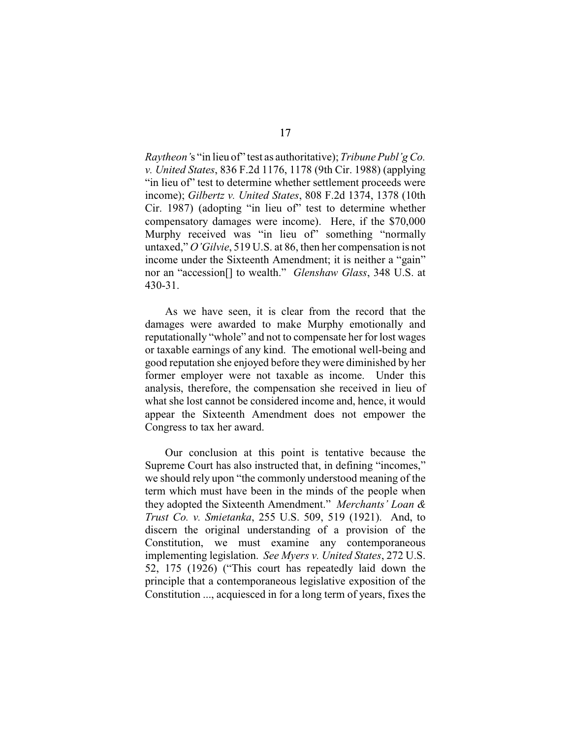*Raytheon'*s "in lieu of" test as authoritative); *Tribune Publ'g Co. v. United States*, 836 F.2d 1176, 1178 (9th Cir. 1988) (applying "in lieu of" test to determine whether settlement proceeds were income); *Gilbertz v. United States*, 808 F.2d 1374, 1378 (10th Cir. 1987) (adopting "in lieu of" test to determine whether compensatory damages were income). Here, if the \$70,000 Murphy received was "in lieu of" something "normally untaxed," *O'Gilvie*, 519 U.S. at 86, then her compensation is not income under the Sixteenth Amendment; it is neither a "gain" nor an "accession[] to wealth." *Glenshaw Glass*, 348 U.S. at 430-31.

As we have seen, it is clear from the record that the damages were awarded to make Murphy emotionally and reputationally "whole" and not to compensate her for lost wages or taxable earnings of any kind. The emotional well-being and good reputation she enjoyed before they were diminished by her former employer were not taxable as income. Under this analysis, therefore, the compensation she received in lieu of what she lost cannot be considered income and, hence, it would appear the Sixteenth Amendment does not empower the Congress to tax her award.

Our conclusion at this point is tentative because the Supreme Court has also instructed that, in defining "incomes," we should rely upon "the commonly understood meaning of the term which must have been in the minds of the people when they adopted the Sixteenth Amendment." *Merchants' Loan & Trust Co. v. Smietanka*, 255 U.S. 509, 519 (1921). And, to discern the original understanding of a provision of the Constitution, we must examine any contemporaneous implementing legislation. *See Myers v. United States*, 272 U.S. 52, 175 (1926) ("This court has repeatedly laid down the principle that a contemporaneous legislative exposition of the Constitution ..., acquiesced in for a long term of years, fixes the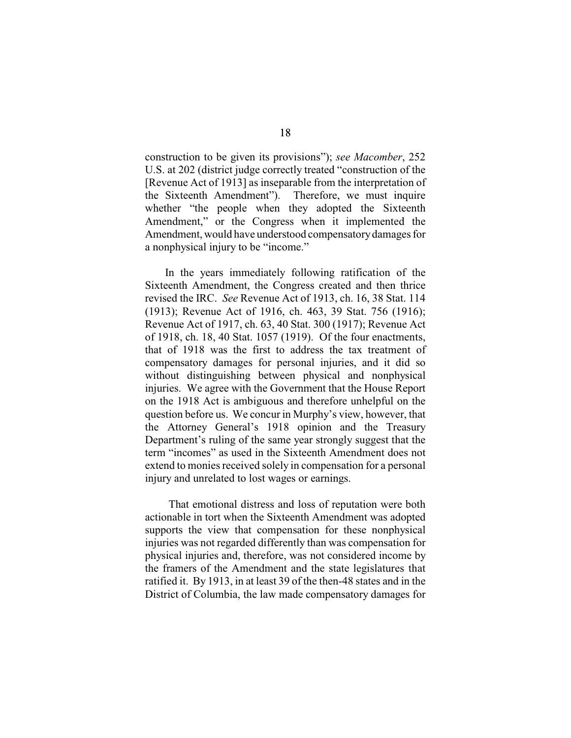construction to be given its provisions"); *see Macomber*, 252 U.S. at 202 (district judge correctly treated "construction of the [Revenue Act of 1913] as inseparable from the interpretation of the Sixteenth Amendment"). Therefore, we must inquire whether "the people when they adopted the Sixteenth Amendment," or the Congress when it implemented the Amendment, would have understood compensatory damages for a nonphysical injury to be "income."

In the years immediately following ratification of the Sixteenth Amendment, the Congress created and then thrice revised the IRC. *See* Revenue Act of 1913, ch. 16, 38 Stat. 114 (1913); Revenue Act of 1916, ch. 463, 39 Stat. 756 (1916); Revenue Act of 1917, ch. 63, 40 Stat. 300 (1917); Revenue Act of 1918, ch. 18, 40 Stat. 1057 (1919). Of the four enactments, that of 1918 was the first to address the tax treatment of compensatory damages for personal injuries, and it did so without distinguishing between physical and nonphysical injuries. We agree with the Government that the House Report on the 1918 Act is ambiguous and therefore unhelpful on the question before us. We concur in Murphy's view, however, that the Attorney General's 1918 opinion and the Treasury Department's ruling of the same year strongly suggest that the term "incomes" as used in the Sixteenth Amendment does not extend to monies received solely in compensation for a personal injury and unrelated to lost wages or earnings.

 That emotional distress and loss of reputation were both actionable in tort when the Sixteenth Amendment was adopted supports the view that compensation for these nonphysical injuries was not regarded differently than was compensation for physical injuries and, therefore, was not considered income by the framers of the Amendment and the state legislatures that ratified it. By 1913, in at least 39 of the then-48 states and in the District of Columbia, the law made compensatory damages for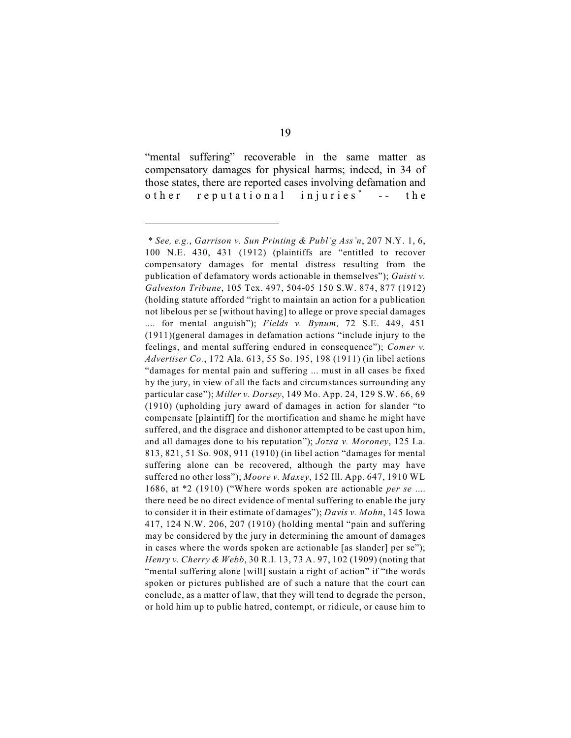"mental suffering" recoverable in the same matter as compensatory damages for physical harms; indeed, in 34 of those states, there are reported cases involving defamation and other reputational injuries<sup>\*</sup> -- the

*<sup>\*</sup> See, e.g.*, *Garrison v. Sun Printing & Publ'g Ass'n*, 207 N.Y. 1, 6, 100 N.E. 430, 431 (1912) (plaintiffs are "entitled to recover compensatory damages for mental distress resulting from the publication of defamatory words actionable in themselves"); *Guisti v. Galveston Tribune*, 105 Tex. 497, 504-05 150 S.W. 874, 877 (1912) (holding statute afforded "right to maintain an action for a publication not libelous per se [without having] to allege or prove special damages .... for mental anguish"); *Fields v. Bynum,* 72 S.E. 449, 451 (1911)(general damages in defamation actions "include injury to the feelings, and mental suffering endured in consequence"); *Comer v. Advertiser Co.*, 172 Ala. 613, 55 So. 195, 198 (1911) (in libel actions "damages for mental pain and suffering ... must in all cases be fixed by the jury, in view of all the facts and circumstances surrounding any particular case"); *Miller v. Dorsey*, 149 Mo. App. 24, 129 S.W. 66, 69 (1910) (upholding jury award of damages in action for slander "to compensate [plaintiff] for the mortification and shame he might have suffered, and the disgrace and dishonor attempted to be cast upon him, and all damages done to his reputation"); *Jozsa v. Moroney*, 125 La. 813, 821, 51 So. 908, 911 (1910) (in libel action "damages for mental suffering alone can be recovered, although the party may have suffered no other loss"); *Moore v. Maxey*, 152 Ill. App. 647, 1910 WL 1686, at \*2 (1910) ("Where words spoken are actionable *per se* .... there need be no direct evidence of mental suffering to enable the jury to consider it in their estimate of damages"); *Davis v. Mohn*, 145 Iowa 417, 124 N.W. 206, 207 (1910) (holding mental "pain and suffering may be considered by the jury in determining the amount of damages in cases where the words spoken are actionable [as slander] per se"); *Henry v. Cherry & Webb*, 30 R.I. 13, 73 A. 97, 102 (1909) (noting that "mental suffering alone [will] sustain a right of action" if "the words spoken or pictures published are of such a nature that the court can conclude, as a matter of law, that they will tend to degrade the person, or hold him up to public hatred, contempt, or ridicule, or cause him to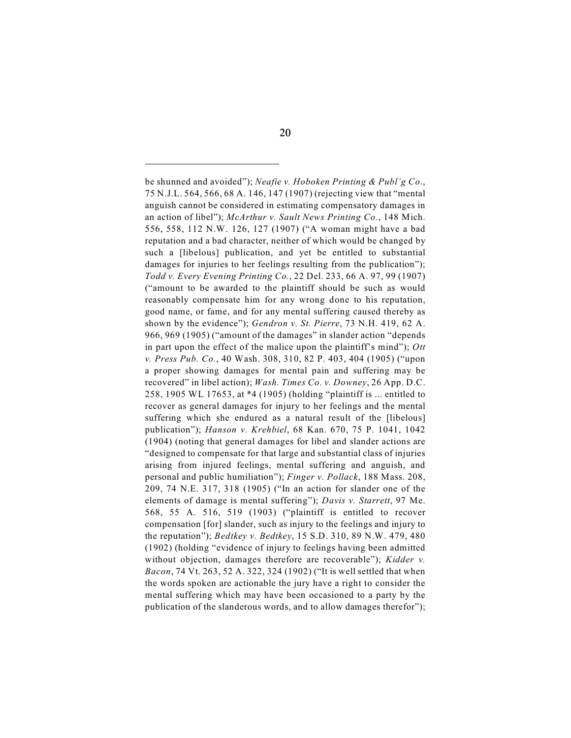be shunned and avoided"); *Neafie v. Hoboken Printing & Publ'g Co*., 75 N.J.L. 564, 566, 68 A. 146, 147 (1907) (rejecting view that "mental anguish cannot be considered in estimating compensatory damages in an action of libel"); *McArthur v. Sault News Printing Co.*, 148 Mich. 556, 558, 112 N.W. 126, 127 (1907) ("A woman might have a bad reputation and a bad character, neither of which would be changed by such a [libelous] publication, and yet be entitled to substantial damages for injuries to her feelings resulting from the publication"); *Todd v. Every Evening Printing Co.*, 22 Del. 233, 66 A. 97, 99 (1907) ("amount to be awarded to the plaintiff should be such as would reasonably compensate him for any wrong done to his reputation, good name, or fame, and for any mental suffering caused thereby as shown by the evidence"); *Gendron v. St. Pierre*, 73 N.H. 419, 62 A. 966, 969 (1905) ("amount of the damages" in slander action "depends in part upon the effect of the malice upon the plaintiff's mind"); *Ott v. Press Pub. Co.*, 40 Wash. 308, 310, 82 P. 403, 404 (1905) ("upon a proper showing damages for mental pain and suffering may be recovered" in libel action); *Wash. Times Co. v. Downey*, 26 App. D.C. 258, 1905 WL 17653, at \*4 (1905) (holding "plaintiff is ... entitled to recover as general damages for injury to her feelings and the mental suffering which she endured as a natural result of the [libelous] publication"); *Hanson v. Krehbiel*, 68 Kan. 670, 75 P. 1041, 1042 (1904) (noting that general damages for libel and slander actions are "designed to compensate for that large and substantial class of injuries arising from injured feelings, mental suffering and anguish, and personal and public humiliation"); *Finger v. Pollack*, 188 Mass. 208, 209, 74 N.E. 317, 318 (1905) ("In an action for slander one of the elements of damage is mental suffering"); *Davis v. Starrett*, 97 Me. 568, 55 A. 516, 519 (1903) ("plaintiff is entitled to recover compensation [for] slander, such as injury to the feelings and injury to the reputation"); *Bedtkey v. Bedtkey*, 15 S.D. 310, 89 N.W. 479, 480 (1902) (holding "evidence of injury to feelings having been admitted without objection, damages therefore are recoverable"); *Kidder v. Bacon*, 74 Vt. 263, 52 A. 322, 324 (1902) ("It is well settled that when the words spoken are actionable the jury have a right to consider the mental suffering which may have been occasioned to a party by the publication of the slanderous words, and to allow damages therefor");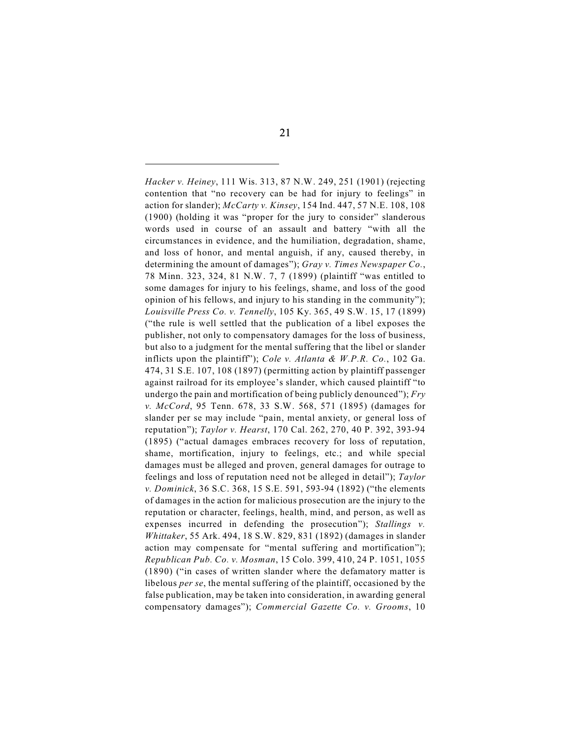*Hacker v. Heiney*, 111 Wis. 313, 87 N.W. 249, 251 (1901) (rejecting contention that "no recovery can be had for injury to feelings" in action for slander); *McCarty v. Kinsey*, 154 Ind. 447, 57 N.E. 108, 108 (1900) (holding it was "proper for the jury to consider" slanderous words used in course of an assault and battery "with all the circumstances in evidence, and the humiliation, degradation, shame, and loss of honor, and mental anguish, if any, caused thereby, in determining the amount of damages"); *Gray v. Times Newspaper Co.*, 78 Minn. 323, 324, 81 N.W. 7, 7 (1899) (plaintiff "was entitled to some damages for injury to his feelings, shame, and loss of the good opinion of his fellows, and injury to his standing in the community"); *Louisville Press Co. v. Tennelly*, 105 Ky. 365, 49 S.W. 15, 17 (1899) ("the rule is well settled that the publication of a libel exposes the publisher, not only to compensatory damages for the loss of business, but also to a judgment for the mental suffering that the libel or slander inflicts upon the plaintiff"); *Cole v. Atlanta & W.P.R. Co.*, 102 Ga. 474, 31 S.E. 107, 108 (1897) (permitting action by plaintiff passenger against railroad for its employee's slander, which caused plaintiff "to undergo the pain and mortification of being publicly denounced"); *Fry v. McCord*, 95 Tenn. 678, 33 S.W. 568, 571 (1895) (damages for slander per se may include "pain, mental anxiety, or general loss of reputation"); *Taylor v. Hearst*, 170 Cal. 262, 270, 40 P. 392, 393-94 (1895) ("actual damages embraces recovery for loss of reputation, shame, mortification, injury to feelings, etc.; and while special damages must be alleged and proven, general damages for outrage to feelings and loss of reputation need not be alleged in detail"); *Taylor v. Dominick*, 36 S.C. 368, 15 S.E. 591, 593-94 (1892) ("the elements of damages in the action for malicious prosecution are the injury to the reputation or character, feelings, health, mind, and person, as well as expenses incurred in defending the prosecution"); *Stallings v. Whittaker*, 55 Ark. 494, 18 S.W. 829, 831 (1892) (damages in slander action may compensate for "mental suffering and mortification"); *Republican Pub. Co. v. Mosman*, 15 Colo. 399, 410, 24 P. 1051, 1055 (1890) ("in cases of written slander where the defamatory matter is libelous *per se*, the mental suffering of the plaintiff, occasioned by the false publication, may be taken into consideration, in awarding general compensatory damages"); *Commercial Gazette Co. v. Grooms*, 10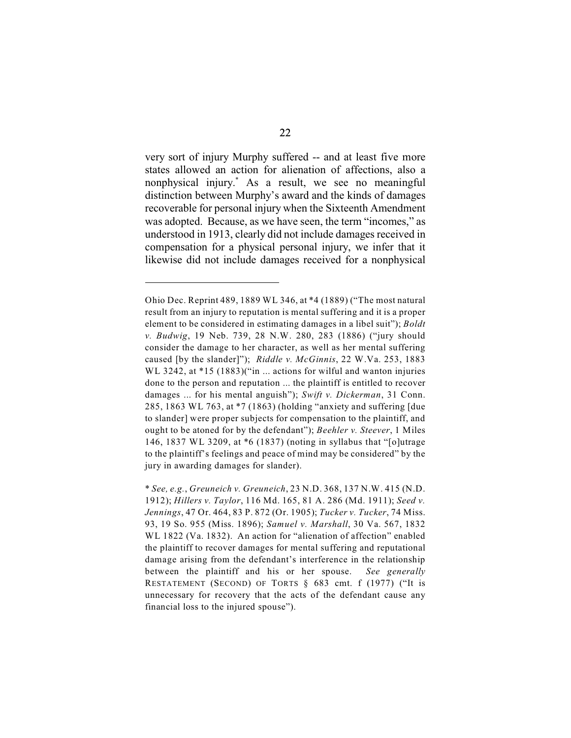very sort of injury Murphy suffered -- and at least five more states allowed an action for alienation of affections, also a nonphysical injury.<sup>\*</sup> As a result, we see no meaningful distinction between Murphy's award and the kinds of damages recoverable for personal injury when the Sixteenth Amendment was adopted. Because, as we have seen, the term "incomes," as understood in 1913, clearly did not include damages received in compensation for a physical personal injury, we infer that it likewise did not include damages received for a nonphysical

Ohio Dec. Reprint 489, 1889 WL 346, at \*4 (1889) ("The most natural result from an injury to reputation is mental suffering and it is a proper element to be considered in estimating damages in a libel suit"); *Boldt v. Budwig*, 19 Neb. 739, 28 N.W. 280, 283 (1886) ("jury should consider the damage to her character, as well as her mental suffering caused [by the slander]"); *Riddle v. McGinnis*, 22 W.Va. 253, 1883 WL 3242, at \*15 (1883)("in ... actions for wilful and wanton injuries done to the person and reputation ... the plaintiff is entitled to recover damages ... for his mental anguish"); *Swift v. Dickerman*, 31 Conn. 285, 1863 WL 763, at \*7 (1863) (holding "anxiety and suffering [due to slander] were proper subjects for compensation to the plaintiff, and ought to be atoned for by the defendant"); *Beehler v. Steever*, 1 Miles 146, 1837 WL 3209, at \*6 (1837) (noting in syllabus that "[o]utrage to the plaintiff's feelings and peace of mind may be considered" by the jury in awarding damages for slander).

<sup>\*</sup> *See, e.g.*, *Greuneich v. Greuneich*, 23 N.D. 368, 137 N.W. 415 (N.D. 1912); *Hillers v. Taylor*, 116 Md. 165, 81 A. 286 (Md. 1911); *Seed v. Jennings*, 47 Or. 464, 83 P. 872 (Or. 1905); *Tucker v. Tucker*, 74 Miss. 93, 19 So. 955 (Miss. 1896); *Samuel v. Marshall*, 30 Va. 567, 1832 WL 1822 (Va. 1832). An action for "alienation of affection" enabled the plaintiff to recover damages for mental suffering and reputational damage arising from the defendant's interference in the relationship between the plaintiff and his or her spouse. *See generally* RESTATEMENT (SECOND) OF TORTS § 683 cmt. f (1977) ("It is unnecessary for recovery that the acts of the defendant cause any financial loss to the injured spouse").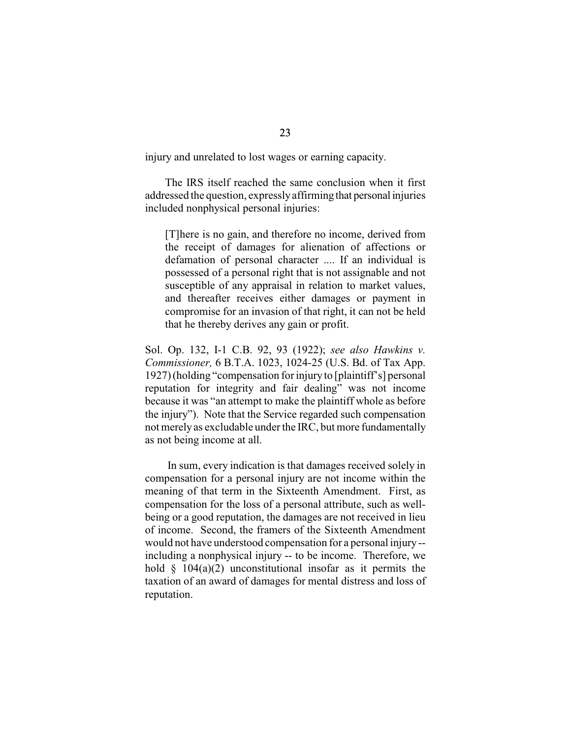injury and unrelated to lost wages or earning capacity.

The IRS itself reached the same conclusion when it first addressed the question, expressly affirming that personal injuries included nonphysical personal injuries:

[T]here is no gain, and therefore no income, derived from the receipt of damages for alienation of affections or defamation of personal character .... If an individual is possessed of a personal right that is not assignable and not susceptible of any appraisal in relation to market values, and thereafter receives either damages or payment in compromise for an invasion of that right, it can not be held that he thereby derives any gain or profit.

Sol. Op. 132, I-1 C.B. 92, 93 (1922); *see also Hawkins v. Commissioner,* 6 B.T.A. 1023, 1024-25 (U.S. Bd. of Tax App. 1927)(holding "compensation for injury to [plaintiff's] personal reputation for integrity and fair dealing" was not income because it was "an attempt to make the plaintiff whole as before the injury"). Note that the Service regarded such compensation not merely as excludable under the IRC, but more fundamentally as not being income at all.

 In sum, every indication is that damages received solely in compensation for a personal injury are not income within the meaning of that term in the Sixteenth Amendment. First, as compensation for the loss of a personal attribute, such as wellbeing or a good reputation, the damages are not received in lieu of income. Second, the framers of the Sixteenth Amendment would not have understood compensation for a personal injury - including a nonphysical injury -- to be income. Therefore, we hold  $\S$  104(a)(2) unconstitutional insofar as it permits the taxation of an award of damages for mental distress and loss of reputation.